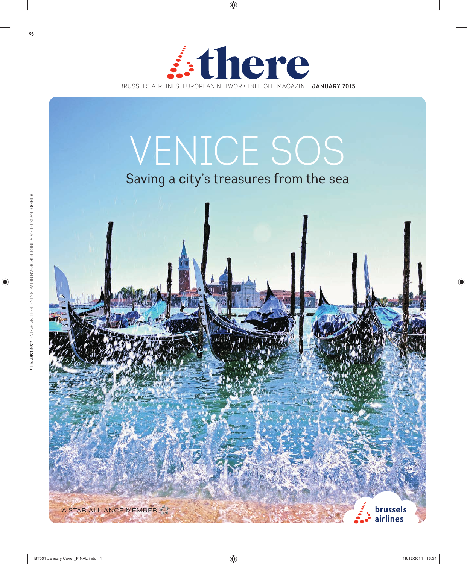

# VENICE SOS

## Saving a city's treasures from the sea

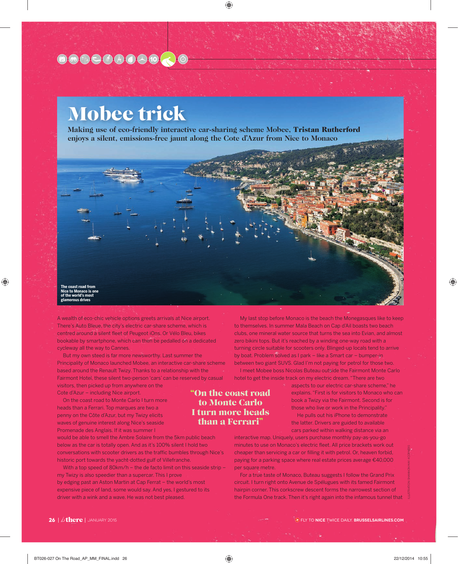## 80000000000

## Mobee trick

**Making use of eco-friendly interactive car-sharing scheme Mobee,** Tristan Rutherford **enjoys a silent, emissions-free jaunt along the Cote d'Azur from Nice to Monaco**



A wealth of eco-chic vehicle options greets arrivals at Nice airport. There's Auto Bleue, the city's electric car-share scheme, which is centred around a silent fleet of Peugeot iOns. Or Vélo Bleu, bikes bookable by smartphone, which can then be pedalled on a dedicated cycleway all the way to Cannes.

But my own steed is far more newsworthy. Last summer the Principality of Monaco launched Mobee, an interactive car-share scheme based around the Renault Twizy. Thanks to a relationship with the Fairmont Hotel, these silent two-person 'cars' can be reserved by casual visitors, then picked up from anywhere on the

Cote d'Azur – including Nice airport.

On the coast road to Monte Carlo I turn more heads than a Ferrari. Top marques are two a penny on the Côte d'Azur, but my Twizy elicits waves of genuine interest along Nice's seaside Promenade des Anglais. If it was summer I

would be able to smell the Ambre Solaire from the 5km public beach below as the car is totally open. And as it's 100% silent I hold two conversations with scooter drivers as the traffic bumbles through Nice's historic port towards the yacht-dotted gulf of Villefranche.

With a top speed of 80km/h – the de facto limit on this seaside strip – my Twizy is also speedier than a supercar. This I prove by edging past an Aston Martin at Cap Ferrat – the world's most expensive piece of land, some would say. And yes, I gestured to its driver with a wink and a wave. He was not best pleased.

My last stop before Monaco is the beach the Monegasques like to keep to themselves. In summer Mala Beach on Cap d'Ail boasts two beach clubs, one mineral water source that turns the sea into Evian, and almost zero bikini tops. But it's reached by a winding one-way road with a turning circle suitable for scooters only. Blinged-up locals tend to arrive by boat. Problem solved as I park – like a Smart car – bumper-in between two giant SUVS. Glad I'm not paying for petrol for those two. I meet Mobee boss Nicolas Buteau outside the Fairmont Monte Carlo hotel to get the inside track on my electric dream. "There are two

### "On the coast road to Monte Carlo I turn more heads than a Ferrari"

aspects to our electric car-share scheme," he explains. "First is for visitors to Monaco who can book a Twizy via the Fairmont. Second is for those who live or work in the Principality."

He pulls out his iPhone to demonstrate the latter. Drivers are guided to available cars parked within walking distance via an

interactive map. Uniquely, users purchase monthly pay-as-you-go minutes to use on Monaco's electric fleet. All price brackets work out cheaper than servicing a car or filling it with petrol. Or, heaven forbid, paying for a parking space where real estate prices average €40,000 per square metre.

For a true taste of Monaco, Buteau suggests I follow the Grand Prix circuit. I turn right onto Avenue de Spélugues with its famed Fairmont hairpin corner. This corkscrew descent forms the narrowest section of the Formula One track. Then it's right again into the infamous tunnel that ILLUSTRATION: SHANNON MAY; 4CORNERS